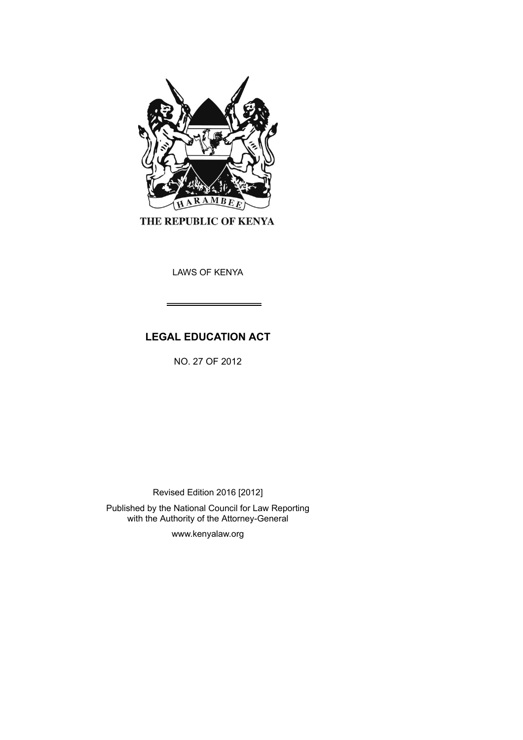

THE REPUBLIC OF KENYA

LAWS OF KENYA

# **LEGAL EDUCATION ACT**

NO. 27 OF 2012

Revised Edition 2016 [2012]

Published by the National Council for Law Reporting with the Authority of the Attorney-General

www.kenyalaw.org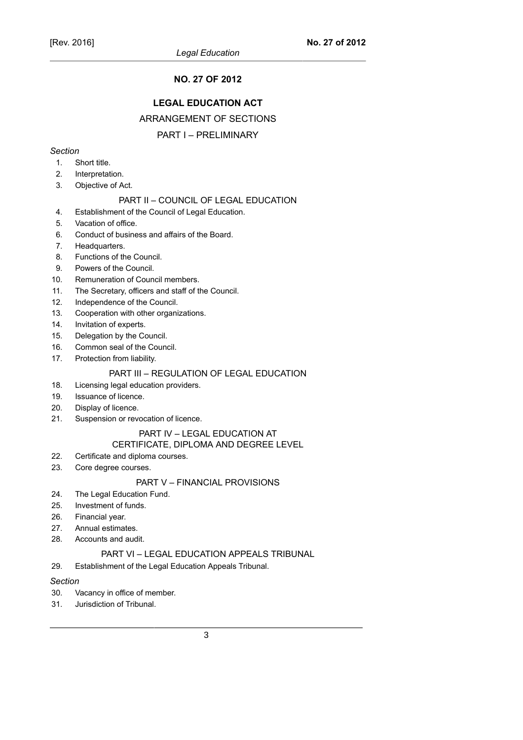### **NO. 27 OF 2012**

### **LEGAL EDUCATION ACT**

### ARRANGEMENT OF SECTIONS

#### PART I – PRELIMINARY

### *Section*

- 1. Short title.
- 2. Interpretation.
- 3. Objective of Act.

#### PART II – COUNCIL OF LEGAL EDUCATION

- 4. Establishment of the Council of Legal Education.
- 5. Vacation of office.
- 6. Conduct of business and affairs of the Board.
- 7. Headquarters.
- 8. Functions of the Council.
- 9. Powers of the Council.
- 10. Remuneration of Council members.
- 11. The Secretary, officers and staff of the Council.
- 12. Independence of the Council.
- 13. Cooperation with other organizations.
- 14. Invitation of experts.
- 15. Delegation by the Council.
- 16. Common seal of the Council.
- 17. Protection from liability.

# PART III – REGULATION OF LEGAL EDUCATION

- 18. Licensing legal education providers.
- 19. Issuance of licence.
- 20. Display of licence.
- 21. Suspension or revocation of licence.

#### PART IV – LEGAL EDUCATION AT

#### CERTIFICATE, DIPLOMA AND DEGREE LEVEL

- 22. Certificate and diploma courses.
- 23. Core degree courses.

### PART V – FINANCIAL PROVISIONS

- 24. The Legal Education Fund.
- 25. Investment of funds.
- 26. Financial year.
- 27. Annual estimates.
- 28. Accounts and audit.

### PART VI – LEGAL EDUCATION APPEALS TRIBUNAL

29. Establishment of the Legal Education Appeals Tribunal.

#### *Section*

- 30. Vacancy in office of member.
- 31. Jurisdiction of Tribunal.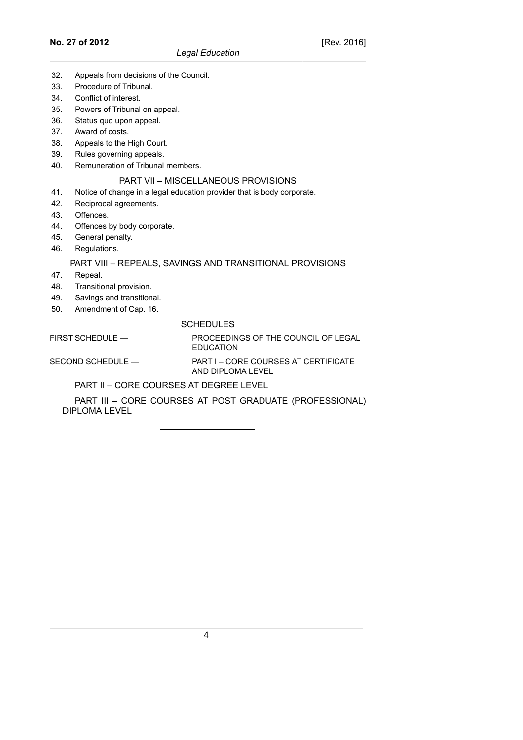- 32. Appeals from decisions of the Council.
- 33. Procedure of Tribunal.
- 34. Conflict of interest.
- 35. Powers of Tribunal on appeal.
- 36. Status quo upon appeal.
- 37. Award of costs.
- 38. Appeals to the High Court.
- 39. Rules governing appeals.
- 40. Remuneration of Tribunal members.

#### PART VII – MISCELLANEOUS PROVISIONS

- 41. Notice of change in a legal education provider that is body corporate.
- 42. Reciprocal agreements.
- 43. Offences.
- 44. Offences by body corporate.
- 45. General penalty.
- 46. Regulations.

### PART VIII – REPEALS, SAVINGS AND TRANSITIONAL PROVISIONS

- 47. Repeal.
- 48. Transitional provision.
- 49. Savings and transitional.
- 50. Amendment of Cap. 16.

#### **SCHEDULES**

#### FIRST SCHEDULE — PROCEEDINGS OF THE COUNCIL OF LEGAL EDUCATION

SECOND SCHEDULE — PART I – CORE COURSES AT CERTIFICATE AND DIPLOMA LEVEL

PART II – CORE COURSES AT DEGREE LEVEL

PART III – CORE COURSES AT POST GRADUATE (PROFESSIONAL) DIPLOMA LEVEL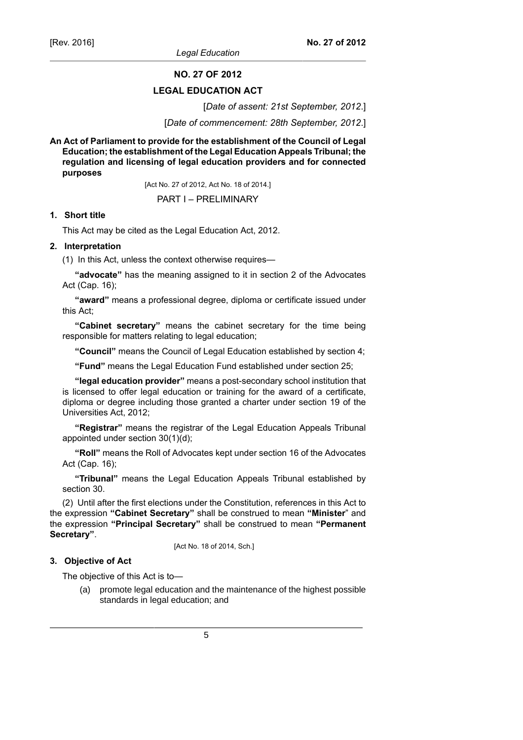*Legal Education*

**NO. 27 OF 2012**

### **LEGAL EDUCATION ACT**

[*Date of assent: 21st September, 2012*.]

[*Date of commencement: 28th September, 2012*.]

**An Act of Parliament to provide for the establishment of the Council of Legal Education; the establishment of the Legal Education Appeals Tribunal; the regulation and licensing of legal education providers and for connected purposes**

[Act No. 27 of 2012, Act No. 18 of 2014.]

PART I – PRELIMINARY

### **1. Short title**

This Act may be cited as the Legal Education Act, 2012.

### **2. Interpretation**

(1) In this Act, unless the context otherwise requires—

**"advocate"** has the meaning assigned to it in section 2 of the Advocates Act (Cap. 16);

**"award"** means a professional degree, diploma or certificate issued under this Act;

**"Cabinet secretary"** means the cabinet secretary for the time being responsible for matters relating to legal education;

**"Council"** means the Council of Legal Education established by section 4;

**"Fund"** means the Legal Education Fund established under section 25;

**"legal education provider"** means a post-secondary school institution that is licensed to offer legal education or training for the award of a certificate, diploma or degree including those granted a charter under section 19 of the Universities Act, 2012;

**"Registrar"** means the registrar of the Legal Education Appeals Tribunal appointed under section 30(1)(d);

**"Roll"** means the Roll of Advocates kept under section 16 of the Advocates Act (Cap. 16);

**"Tribunal"** means the Legal Education Appeals Tribunal established by section 30.

(2) Until after the first elections under the Constitution, references in this Act to the expression **"Cabinet Secretary"** shall be construed to mean **"Minister**" and the expression **"Principal Secretary"** shall be construed to mean **"Permanent Secretary"**.

[Act No. 18 of 2014, Sch.]

### **3. Objective of Act**

The objective of this Act is to—

(a) promote legal education and the maintenance of the highest possible standards in legal education; and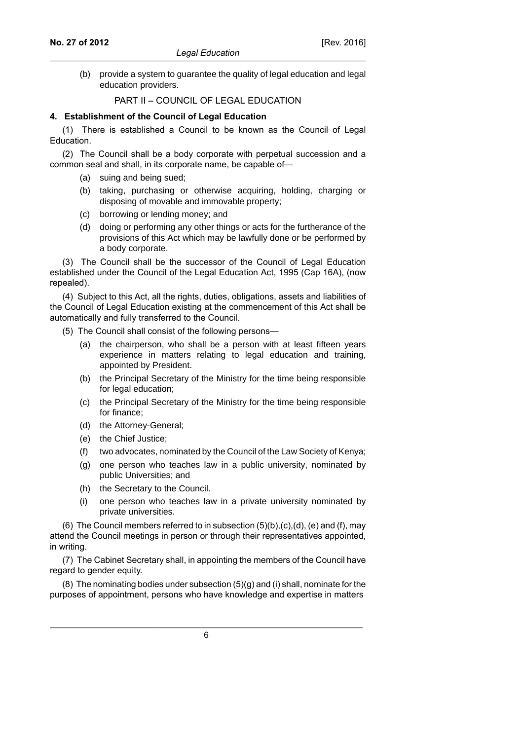(b) provide a system to guarantee the quality of legal education and legal education providers.

### PART II – COUNCIL OF LEGAL EDUCATION

#### **4. Establishment of the Council of Legal Education**

(1) There is established a Council to be known as the Council of Legal Education.

(2) The Council shall be a body corporate with perpetual succession and a common seal and shall, in its corporate name, be capable of—

- (a) suing and being sued;
- (b) taking, purchasing or otherwise acquiring, holding, charging or disposing of movable and immovable property;
- (c) borrowing or lending money; and
- (d) doing or performing any other things or acts for the furtherance of the provisions of this Act which may be lawfully done or be performed by a body corporate.

(3) The Council shall be the successor of the Council of Legal Education established under the Council of the Legal Education Act, 1995 (Cap 16A), (now repealed).

(4) Subject to this Act, all the rights, duties, obligations, assets and liabilities of the Council of Legal Education existing at the commencement of this Act shall be automatically and fully transferred to the Council.

- (5) The Council shall consist of the following persons—
	- (a) the chairperson, who shall be a person with at least fifteen years experience in matters relating to legal education and training, appointed by President.
	- (b) the Principal Secretary of the Ministry for the time being responsible for legal education;
	- (c) the Principal Secretary of the Ministry for the time being responsible for finance;
	- (d) the Attorney-General;
	- (e) the Chief Justice;
	- (f) two advocates, nominated by the Council of the Law Society of Kenya;
	- (g) one person who teaches law in a public university, nominated by public Universities; and
	- (h) the Secretary to the Council.
	- (i) one person who teaches law in a private university nominated by private universities.

(6) The Council members referred to in subsection  $(5)(b)$ ,  $(c)$ ,  $(d)$ ,  $(e)$  and  $(f)$ , may attend the Council meetings in person or through their representatives appointed, in writing.

(7) The Cabinet Secretary shall, in appointing the members of the Council have regard to gender equity.

(8) The nominating bodies under subsection (5)(g) and (i) shall, nominate for the purposes of appointment, persons who have knowledge and expertise in matters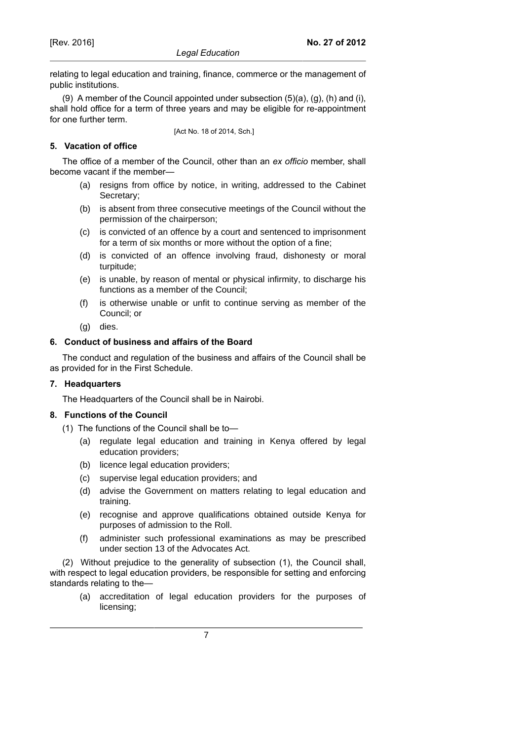relating to legal education and training, finance, commerce or the management of public institutions.

(9) A member of the Council appointed under subsection  $(5)(a)$ ,  $(q)$ ,  $(h)$  and  $(i)$ , shall hold office for a term of three years and may be eligible for re-appointment for one further term.

[Act No. 18 of 2014, Sch.]

# **5. Vacation of office**

The office of a member of the Council, other than an *ex officio* member, shall become vacant if the member—

- (a) resigns from office by notice, in writing, addressed to the Cabinet Secretary;
- (b) is absent from three consecutive meetings of the Council without the permission of the chairperson;
- (c) is convicted of an offence by a court and sentenced to imprisonment for a term of six months or more without the option of a fine;
- (d) is convicted of an offence involving fraud, dishonesty or moral turpitude;
- (e) is unable, by reason of mental or physical infirmity, to discharge his functions as a member of the Council;
- (f) is otherwise unable or unfit to continue serving as member of the Council; or
- (g) dies.

# **6. Conduct of business and affairs of the Board**

The conduct and regulation of the business and affairs of the Council shall be as provided for in the First Schedule.

### **7. Headquarters**

The Headquarters of the Council shall be in Nairobi.

### **8. Functions of the Council**

- (1) The functions of the Council shall be to—
	- (a) regulate legal education and training in Kenya offered by legal education providers;
	- (b) licence legal education providers;
	- (c) supervise legal education providers; and
	- (d) advise the Government on matters relating to legal education and training.
	- (e) recognise and approve qualifications obtained outside Kenya for purposes of admission to the Roll.
	- (f) administer such professional examinations as may be prescribed under section 13 of the Advocates Act.

(2) Without prejudice to the generality of subsection (1), the Council shall, with respect to legal education providers, be responsible for setting and enforcing standards relating to the—

(a) accreditation of legal education providers for the purposes of licensing;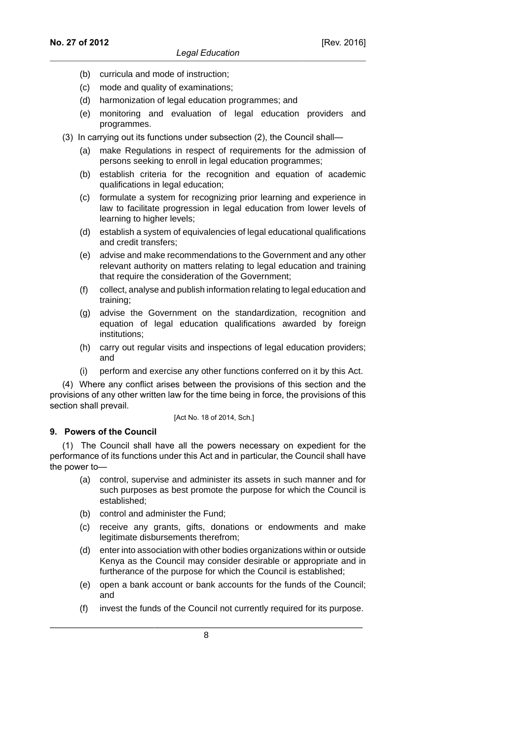- (b) curricula and mode of instruction;
- (c) mode and quality of examinations;
- (d) harmonization of legal education programmes; and
- (e) monitoring and evaluation of legal education providers and programmes.
- (3) In carrying out its functions under subsection (2), the Council shall—
	- (a) make Regulations in respect of requirements for the admission of persons seeking to enroll in legal education programmes;
	- (b) establish criteria for the recognition and equation of academic qualifications in legal education;
	- (c) formulate a system for recognizing prior learning and experience in law to facilitate progression in legal education from lower levels of learning to higher levels;
	- (d) establish a system of equivalencies of legal educational qualifications and credit transfers;
	- (e) advise and make recommendations to the Government and any other relevant authority on matters relating to legal education and training that require the consideration of the Government;
	- (f) collect, analyse and publish information relating to legal education and training;
	- (g) advise the Government on the standardization, recognition and equation of legal education qualifications awarded by foreign institutions;
	- (h) carry out regular visits and inspections of legal education providers; and
	- (i) perform and exercise any other functions conferred on it by this Act.

(4) Where any conflict arises between the provisions of this section and the provisions of any other written law for the time being in force, the provisions of this section shall prevail.

#### [Act No. 18 of 2014, Sch.]

### **9. Powers of the Council**

(1) The Council shall have all the powers necessary on expedient for the performance of its functions under this Act and in particular, the Council shall have the power to—

- (a) control, supervise and administer its assets in such manner and for such purposes as best promote the purpose for which the Council is established;
- (b) control and administer the Fund;
- (c) receive any grants, gifts, donations or endowments and make legitimate disbursements therefrom;
- (d) enter into association with other bodies organizations within or outside Kenya as the Council may consider desirable or appropriate and in furtherance of the purpose for which the Council is established;
- (e) open a bank account or bank accounts for the funds of the Council; and
- (f) invest the funds of the Council not currently required for its purpose.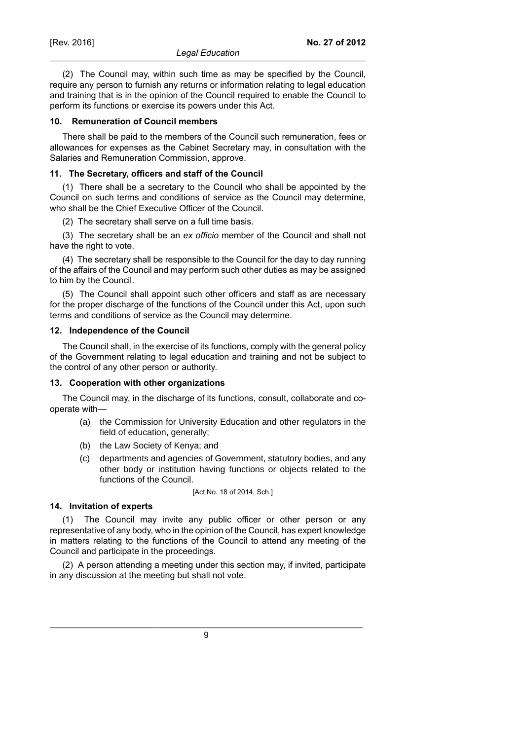### **10. Remuneration of Council members**

There shall be paid to the members of the Council such remuneration, fees or allowances for expenses as the Cabinet Secretary may, in consultation with the Salaries and Remuneration Commission, approve.

#### **11. The Secretary, officers and staff of the Council**

(1) There shall be a secretary to the Council who shall be appointed by the Council on such terms and conditions of service as the Council may determine, who shall be the Chief Executive Officer of the Council.

(2) The secretary shall serve on a full time basis.

(3) The secretary shall be an *ex officio* member of the Council and shall not have the right to vote.

(4) The secretary shall be responsible to the Council for the day to day running of the affairs of the Council and may perform such other duties as may be assigned to him by the Council.

(5) The Council shall appoint such other officers and staff as are necessary for the proper discharge of the functions of the Council under this Act, upon such terms and conditions of service as the Council may determine.

### **12. Independence of the Council**

The Council shall, in the exercise of its functions, comply with the general policy of the Government relating to legal education and training and not be subject to the control of any other person or authority.

### **13. Cooperation with other organizations**

The Council may, in the discharge of its functions, consult, collaborate and cooperate with—

- (a) the Commission for University Education and other regulators in the field of education, generally;
- (b) the Law Society of Kenya; and
- (c) departments and agencies of Government, statutory bodies, and any other body or institution having functions or objects related to the functions of the Council.

[Act No. 18 of 2014, Sch.]

### **14. Invitation of experts**

(1) The Council may invite any public officer or other person or any representative of any body, who in the opinion of the Council, has expert knowledge in matters relating to the functions of the Council to attend any meeting of the Council and participate in the proceedings.

(2) A person attending a meeting under this section may, if invited, participate in any discussion at the meeting but shall not vote.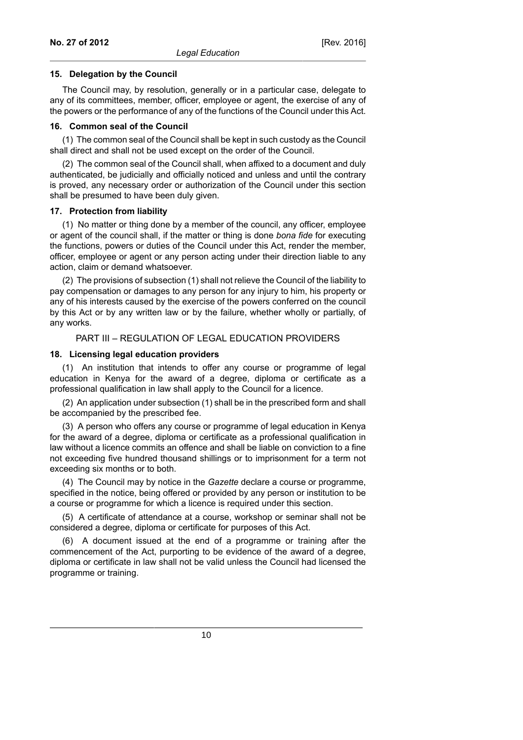#### **15. Delegation by the Council**

The Council may, by resolution, generally or in a particular case, delegate to any of its committees, member, officer, employee or agent, the exercise of any of the powers or the performance of any of the functions of the Council under this Act.

#### **16. Common seal of the Council**

(1) The common seal of the Council shall be kept in such custody as the Council shall direct and shall not be used except on the order of the Council.

(2) The common seal of the Council shall, when affixed to a document and duly authenticated, be judicially and officially noticed and unless and until the contrary is proved, any necessary order or authorization of the Council under this section shall be presumed to have been duly given.

### **17. Protection from liability**

(1) No matter or thing done by a member of the council, any officer, employee or agent of the council shall, if the matter or thing is done *bona fide* for executing the functions, powers or duties of the Council under this Act, render the member, officer, employee or agent or any person acting under their direction liable to any action, claim or demand whatsoever.

(2) The provisions of subsection (1) shall not relieve the Council of the liability to pay compensation or damages to any person for any injury to him, his property or any of his interests caused by the exercise of the powers conferred on the council by this Act or by any written law or by the failure, whether wholly or partially, of any works.

# PART III – REGULATION OF LEGAL EDUCATION PROVIDERS

### **18. Licensing legal education providers**

(1) An institution that intends to offer any course or programme of legal education in Kenya for the award of a degree, diploma or certificate as a professional qualification in law shall apply to the Council for a licence.

(2) An application under subsection (1) shall be in the prescribed form and shall be accompanied by the prescribed fee.

(3) A person who offers any course or programme of legal education in Kenya for the award of a degree, diploma or certificate as a professional qualification in law without a licence commits an offence and shall be liable on conviction to a fine not exceeding five hundred thousand shillings or to imprisonment for a term not exceeding six months or to both.

(4) The Council may by notice in the *Gazette* declare a course or programme, specified in the notice, being offered or provided by any person or institution to be a course or programme for which a licence is required under this section.

(5) A certificate of attendance at a course, workshop or seminar shall not be considered a degree, diploma or certificate for purposes of this Act.

(6) A document issued at the end of a programme or training after the commencement of the Act, purporting to be evidence of the award of a degree, diploma or certificate in law shall not be valid unless the Council had licensed the programme or training.

10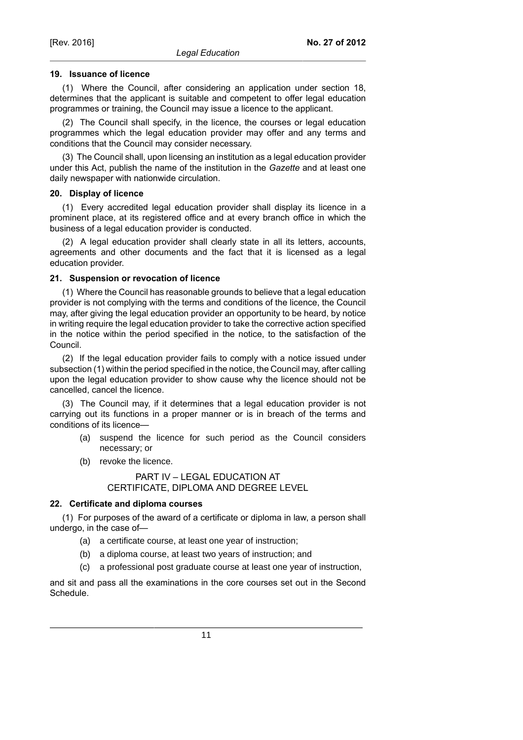#### **19. Issuance of licence**

(1) Where the Council, after considering an application under section 18, determines that the applicant is suitable and competent to offer legal education programmes or training, the Council may issue a licence to the applicant.

(2) The Council shall specify, in the licence, the courses or legal education programmes which the legal education provider may offer and any terms and conditions that the Council may consider necessary.

(3) The Council shall, upon licensing an institution as a legal education provider under this Act, publish the name of the institution in the *Gazette* and at least one daily newspaper with nationwide circulation.

#### **20. Display of licence**

(1) Every accredited legal education provider shall display its licence in a prominent place, at its registered office and at every branch office in which the business of a legal education provider is conducted.

(2) A legal education provider shall clearly state in all its letters, accounts, agreements and other documents and the fact that it is licensed as a legal education provider.

#### **21. Suspension or revocation of licence**

(1) Where the Council has reasonable grounds to believe that a legal education provider is not complying with the terms and conditions of the licence, the Council may, after giving the legal education provider an opportunity to be heard, by notice in writing require the legal education provider to take the corrective action specified in the notice within the period specified in the notice, to the satisfaction of the Council.

(2) If the legal education provider fails to comply with a notice issued under subsection (1) within the period specified in the notice, the Council may, after calling upon the legal education provider to show cause why the licence should not be cancelled, cancel the licence.

(3) The Council may, if it determines that a legal education provider is not carrying out its functions in a proper manner or is in breach of the terms and conditions of its licence—

- (a) suspend the licence for such period as the Council considers necessary; or
- (b) revoke the licence.

PART IV – LEGAL EDUCATION AT CERTIFICATE, DIPLOMA AND DEGREE LEVEL

#### **22. Certificate and diploma courses**

(1) For purposes of the award of a certificate or diploma in law, a person shall undergo, in the case of—

- (a) a certificate course, at least one year of instruction;
- (b) a diploma course, at least two years of instruction; and
- (c) a professional post graduate course at least one year of instruction,

and sit and pass all the examinations in the core courses set out in the Second Schedule.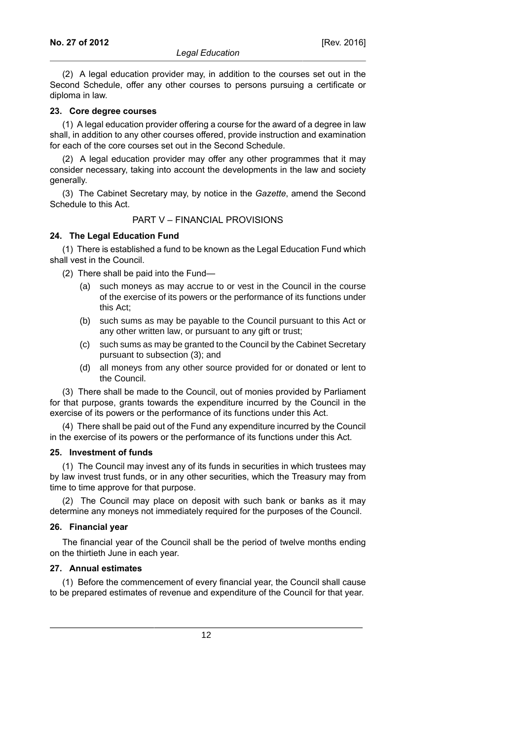(2) A legal education provider may, in addition to the courses set out in the Second Schedule, offer any other courses to persons pursuing a certificate or diploma in law.

#### **23. Core degree courses**

(1) A legal education provider offering a course for the award of a degree in law shall, in addition to any other courses offered, provide instruction and examination for each of the core courses set out in the Second Schedule.

(2) A legal education provider may offer any other programmes that it may consider necessary, taking into account the developments in the law and society generally.

(3) The Cabinet Secretary may, by notice in the *Gazette*, amend the Second Schedule to this Act.

### PART V – FINANCIAL PROVISIONS

### **24. The Legal Education Fund**

(1) There is established a fund to be known as the Legal Education Fund which shall vest in the Council.

- (2) There shall be paid into the Fund—
	- (a) such moneys as may accrue to or vest in the Council in the course of the exercise of its powers or the performance of its functions under this Act;
	- (b) such sums as may be payable to the Council pursuant to this Act or any other written law, or pursuant to any gift or trust;
	- (c) such sums as may be granted to the Council by the Cabinet Secretary pursuant to subsection (3); and
	- (d) all moneys from any other source provided for or donated or lent to the Council.

(3) There shall be made to the Council, out of monies provided by Parliament for that purpose, grants towards the expenditure incurred by the Council in the exercise of its powers or the performance of its functions under this Act.

(4) There shall be paid out of the Fund any expenditure incurred by the Council in the exercise of its powers or the performance of its functions under this Act.

#### **25. Investment of funds**

(1) The Council may invest any of its funds in securities in which trustees may by law invest trust funds, or in any other securities, which the Treasury may from time to time approve for that purpose.

(2) The Council may place on deposit with such bank or banks as it may determine any moneys not immediately required for the purposes of the Council.

### **26. Financial year**

The financial year of the Council shall be the period of twelve months ending on the thirtieth June in each year.

#### **27. Annual estimates**

(1) Before the commencement of every financial year, the Council shall cause to be prepared estimates of revenue and expenditure of the Council for that year.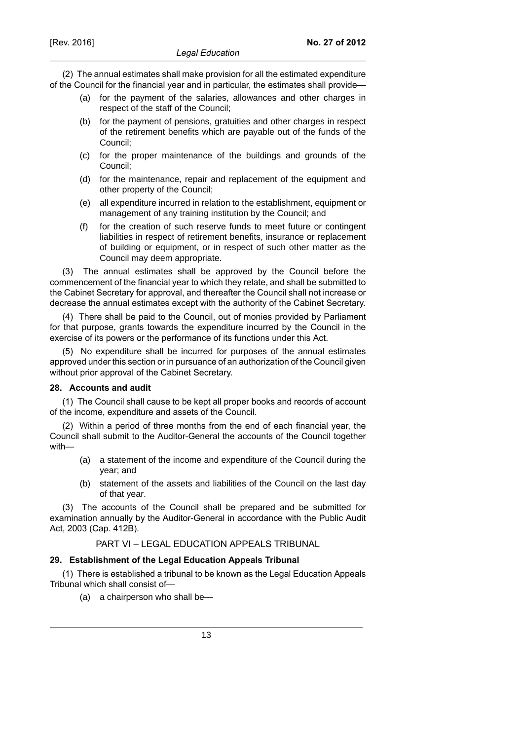(2) The annual estimates shall make provision for all the estimated expenditure of the Council for the financial year and in particular, the estimates shall provide—

- (a) for the payment of the salaries, allowances and other charges in respect of the staff of the Council;
- (b) for the payment of pensions, gratuities and other charges in respect of the retirement benefits which are payable out of the funds of the Council;
- (c) for the proper maintenance of the buildings and grounds of the Council;
- (d) for the maintenance, repair and replacement of the equipment and other property of the Council;
- (e) all expenditure incurred in relation to the establishment, equipment or management of any training institution by the Council; and
- (f) for the creation of such reserve funds to meet future or contingent liabilities in respect of retirement benefits, insurance or replacement of building or equipment, or in respect of such other matter as the Council may deem appropriate.

(3) The annual estimates shall be approved by the Council before the commencement of the financial year to which they relate, and shall be submitted to the Cabinet Secretary for approval, and thereafter the Council shall not increase or decrease the annual estimates except with the authority of the Cabinet Secretary.

(4) There shall be paid to the Council, out of monies provided by Parliament for that purpose, grants towards the expenditure incurred by the Council in the exercise of its powers or the performance of its functions under this Act.

(5) No expenditure shall be incurred for purposes of the annual estimates approved under this section or in pursuance of an authorization of the Council given without prior approval of the Cabinet Secretary.

### **28. Accounts and audit**

(1) The Council shall cause to be kept all proper books and records of account of the income, expenditure and assets of the Council.

(2) Within a period of three months from the end of each financial year, the Council shall submit to the Auditor-General the accounts of the Council together with—

- (a) a statement of the income and expenditure of the Council during the year; and
- (b) statement of the assets and liabilities of the Council on the last day of that year.

(3) The accounts of the Council shall be prepared and be submitted for examination annually by the Auditor-General in accordance with the Public Audit Act, 2003 (Cap. 412B).

# PART VI – LEGAL EDUCATION APPEALS TRIBUNAL

### **29. Establishment of the Legal Education Appeals Tribunal**

(1) There is established a tribunal to be known as the Legal Education Appeals Tribunal which shall consist of—

(a) a chairperson who shall be—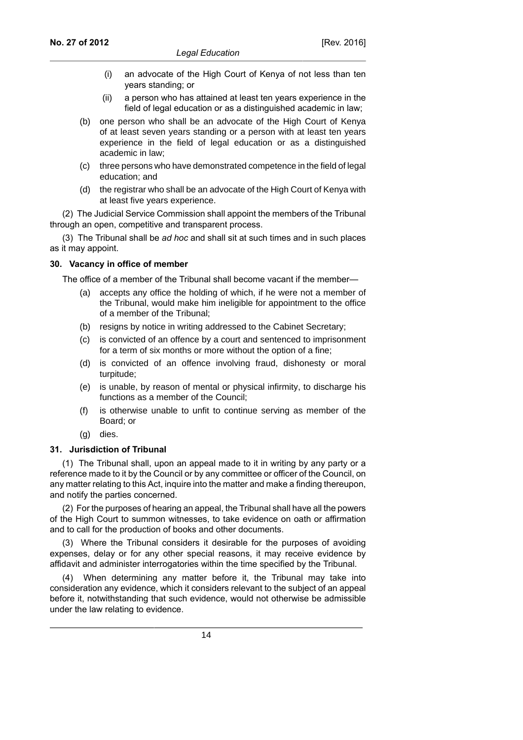- (i) an advocate of the High Court of Kenya of not less than ten years standing; or
- (ii) a person who has attained at least ten years experience in the field of legal education or as a distinguished academic in law;
- (b) one person who shall be an advocate of the High Court of Kenya of at least seven years standing or a person with at least ten years experience in the field of legal education or as a distinguished academic in law;
- (c) three persons who have demonstrated competence in the field of legal education; and
- (d) the registrar who shall be an advocate of the High Court of Kenya with at least five years experience.

(2) The Judicial Service Commission shall appoint the members of the Tribunal through an open, competitive and transparent process.

(3) The Tribunal shall be *ad hoc* and shall sit at such times and in such places as it may appoint.

### **30. Vacancy in office of member**

The office of a member of the Tribunal shall become vacant if the member—

- (a) accepts any office the holding of which, if he were not a member of the Tribunal, would make him ineligible for appointment to the office of a member of the Tribunal;
- (b) resigns by notice in writing addressed to the Cabinet Secretary;
- (c) is convicted of an offence by a court and sentenced to imprisonment for a term of six months or more without the option of a fine;
- (d) is convicted of an offence involving fraud, dishonesty or moral turpitude;
- (e) is unable, by reason of mental or physical infirmity, to discharge his functions as a member of the Council;
- (f) is otherwise unable to unfit to continue serving as member of the Board; or
- (g) dies.

### **31. Jurisdiction of Tribunal**

(1) The Tribunal shall, upon an appeal made to it in writing by any party or a reference made to it by the Council or by any committee or officer of the Council, on any matter relating to this Act, inquire into the matter and make a finding thereupon, and notify the parties concerned.

(2) For the purposes of hearing an appeal, the Tribunal shall have all the powers of the High Court to summon witnesses, to take evidence on oath or affirmation and to call for the production of books and other documents.

(3) Where the Tribunal considers it desirable for the purposes of avoiding expenses, delay or for any other special reasons, it may receive evidence by affidavit and administer interrogatories within the time specified by the Tribunal.

(4) When determining any matter before it, the Tribunal may take into consideration any evidence, which it considers relevant to the subject of an appeal before it, notwithstanding that such evidence, would not otherwise be admissible under the law relating to evidence.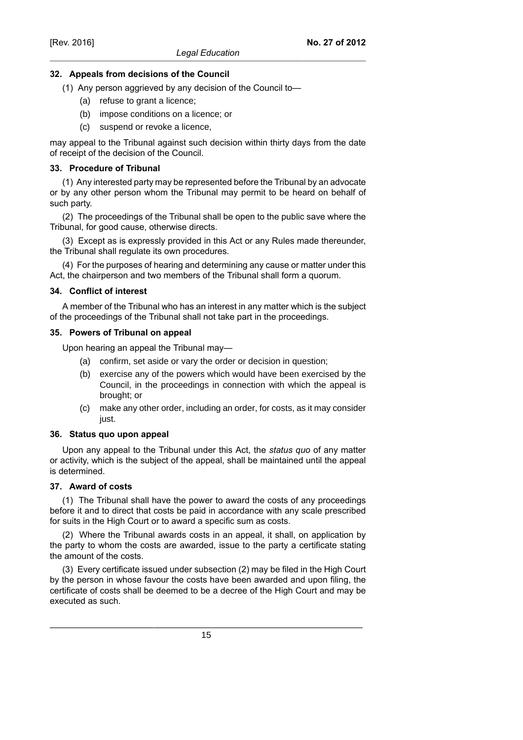### **32. Appeals from decisions of the Council**

- (1) Any person aggrieved by any decision of the Council to—
	- (a) refuse to grant a licence;
	- (b) impose conditions on a licence; or
	- (c) suspend or revoke a licence,

may appeal to the Tribunal against such decision within thirty days from the date of receipt of the decision of the Council.

### **33. Procedure of Tribunal**

(1) Any interested party may be represented before the Tribunal by an advocate or by any other person whom the Tribunal may permit to be heard on behalf of such party.

(2) The proceedings of the Tribunal shall be open to the public save where the Tribunal, for good cause, otherwise directs.

(3) Except as is expressly provided in this Act or any Rules made thereunder, the Tribunal shall regulate its own procedures.

(4) For the purposes of hearing and determining any cause or matter under this Act, the chairperson and two members of the Tribunal shall form a quorum.

### **34. Conflict of interest**

A member of the Tribunal who has an interest in any matter which is the subject of the proceedings of the Tribunal shall not take part in the proceedings.

### **35. Powers of Tribunal on appeal**

Upon hearing an appeal the Tribunal may—

- (a) confirm, set aside or vary the order or decision in question;
- (b) exercise any of the powers which would have been exercised by the Council, in the proceedings in connection with which the appeal is brought; or
- (c) make any other order, including an order, for costs, as it may consider just.

#### **36. Status quo upon appeal**

Upon any appeal to the Tribunal under this Act, the *status quo* of any matter or activity, which is the subject of the appeal, shall be maintained until the appeal is determined.

### **37. Award of costs**

(1) The Tribunal shall have the power to award the costs of any proceedings before it and to direct that costs be paid in accordance with any scale prescribed for suits in the High Court or to award a specific sum as costs.

(2) Where the Tribunal awards costs in an appeal, it shall, on application by the party to whom the costs are awarded, issue to the party a certificate stating the amount of the costs.

(3) Every certificate issued under subsection (2) may be filed in the High Court by the person in whose favour the costs have been awarded and upon filing, the certificate of costs shall be deemed to be a decree of the High Court and may be executed as such.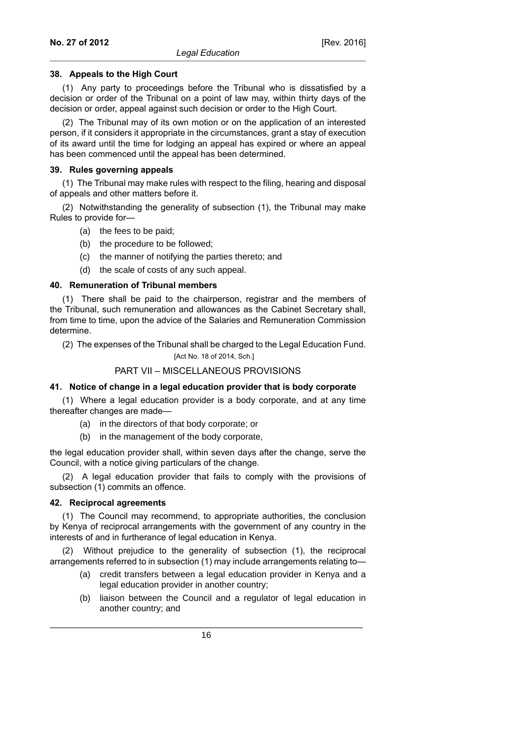### **38. Appeals to the High Court**

(1) Any party to proceedings before the Tribunal who is dissatisfied by a decision or order of the Tribunal on a point of law may, within thirty days of the decision or order, appeal against such decision or order to the High Court.

(2) The Tribunal may of its own motion or on the application of an interested person, if it considers it appropriate in the circumstances, grant a stay of execution of its award until the time for lodging an appeal has expired or where an appeal has been commenced until the appeal has been determined.

### **39. Rules governing appeals**

(1) The Tribunal may make rules with respect to the filing, hearing and disposal of appeals and other matters before it.

(2) Notwithstanding the generality of subsection (1), the Tribunal may make Rules to provide for—

- (a) the fees to be paid;
- (b) the procedure to be followed;
- (c) the manner of notifying the parties thereto; and
- (d) the scale of costs of any such appeal.

### **40. Remuneration of Tribunal members**

(1) There shall be paid to the chairperson, registrar and the members of the Tribunal, such remuneration and allowances as the Cabinet Secretary shall, from time to time, upon the advice of the Salaries and Remuneration Commission determine.

(2) The expenses of the Tribunal shall be charged to the Legal Education Fund.

#### [Act No. 18 of 2014, Sch.]

#### PART VII – MISCELLANEOUS PROVISIONS

#### **41. Notice of change in a legal education provider that is body corporate**

(1) Where a legal education provider is a body corporate, and at any time thereafter changes are made—

- (a) in the directors of that body corporate; or
- (b) in the management of the body corporate,

the legal education provider shall, within seven days after the change, serve the Council, with a notice giving particulars of the change.

(2) A legal education provider that fails to comply with the provisions of subsection (1) commits an offence.

#### **42. Reciprocal agreements**

(1) The Council may recommend, to appropriate authorities, the conclusion by Kenya of reciprocal arrangements with the government of any country in the interests of and in furtherance of legal education in Kenya.

(2) Without prejudice to the generality of subsection (1), the reciprocal arrangements referred to in subsection (1) may include arrangements relating to—

- (a) credit transfers between a legal education provider in Kenya and a legal education provider in another country;
- (b) liaison between the Council and a regulator of legal education in another country; and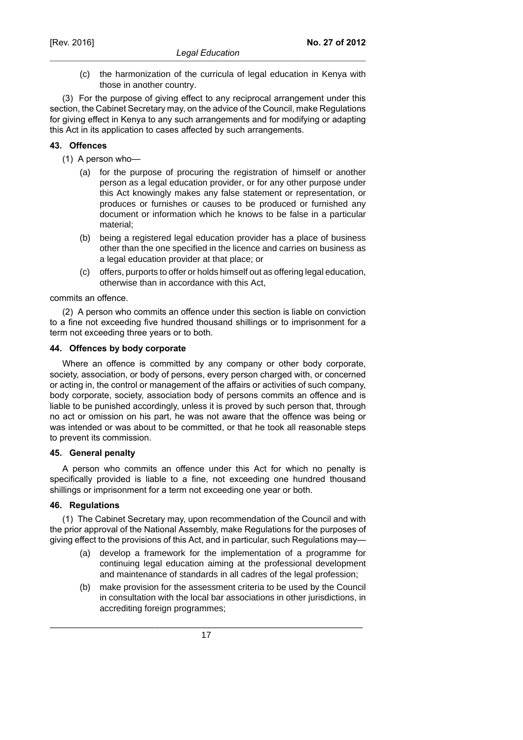(c) the harmonization of the curricula of legal education in Kenya with those in another country.

(3) For the purpose of giving effect to any reciprocal arrangement under this section, the Cabinet Secretary may, on the advice of the Council, make Regulations for giving effect in Kenya to any such arrangements and for modifying or adapting this Act in its application to cases affected by such arrangements.

# **43. Offences**

- (1) A person who—
	- (a) for the purpose of procuring the registration of himself or another person as a legal education provider, or for any other purpose under this Act knowingly makes any false statement or representation, or produces or furnishes or causes to be produced or furnished any document or information which he knows to be false in a particular material;
	- (b) being a registered legal education provider has a place of business other than the one specified in the licence and carries on business as a legal education provider at that place; or
	- (c) offers, purports to offer or holds himself out as offering legal education, otherwise than in accordance with this Act,

commits an offence.

(2) A person who commits an offence under this section is liable on conviction to a fine not exceeding five hundred thousand shillings or to imprisonment for a term not exceeding three years or to both.

### **44. Offences by body corporate**

Where an offence is committed by any company or other body corporate, society, association, or body of persons, every person charged with, or concerned or acting in, the control or management of the affairs or activities of such company, body corporate, society, association body of persons commits an offence and is liable to be punished accordingly, unless it is proved by such person that, through no act or omission on his part, he was not aware that the offence was being or was intended or was about to be committed, or that he took all reasonable steps to prevent its commission.

#### **45. General penalty**

A person who commits an offence under this Act for which no penalty is specifically provided is liable to a fine, not exceeding one hundred thousand shillings or imprisonment for a term not exceeding one year or both.

### **46. Regulations**

(1) The Cabinet Secretary may, upon recommendation of the Council and with the prior approval of the National Assembly, make Regulations for the purposes of giving effect to the provisions of this Act, and in particular, such Regulations may—

- (a) develop a framework for the implementation of a programme for continuing legal education aiming at the professional development and maintenance of standards in all cadres of the legal profession;
- (b) make provision for the assessment criteria to be used by the Council in consultation with the local bar associations in other jurisdictions, in accrediting foreign programmes;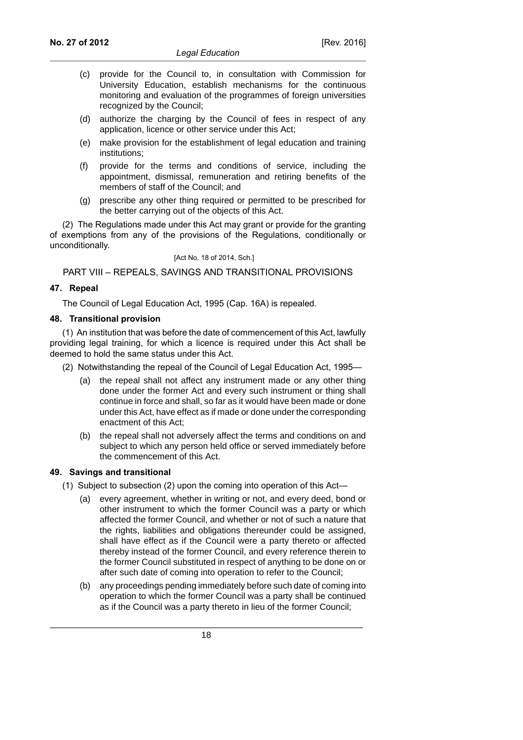- (c) provide for the Council to, in consultation with Commission for University Education, establish mechanisms for the continuous monitoring and evaluation of the programmes of foreign universities recognized by the Council;
- (d) authorize the charging by the Council of fees in respect of any application, licence or other service under this Act;
- (e) make provision for the establishment of legal education and training institutions;
- (f) provide for the terms and conditions of service, including the appointment, dismissal, remuneration and retiring benefits of the members of staff of the Council; and
- (g) prescribe any other thing required or permitted to be prescribed for the better carrying out of the objects of this Act.

(2) The Regulations made under this Act may grant or provide for the granting of exemptions from any of the provisions of the Regulations, conditionally or unconditionally.

[Act No. 18 of 2014, Sch.]

PART VIII – REPEALS, SAVINGS AND TRANSITIONAL PROVISIONS

### **47. Repeal**

The Council of Legal Education Act, 1995 (Cap. 16A) is repealed.

#### **48. Transitional provision**

(1) An institution that was before the date of commencement of this Act, lawfully providing legal training, for which a licence is required under this Act shall be deemed to hold the same status under this Act.

(2) Notwithstanding the repeal of the Council of Legal Education Act, 1995—

- (a) the repeal shall not affect any instrument made or any other thing done under the former Act and every such instrument or thing shall continue in force and shall, so far as it would have been made or done under this Act, have effect as if made or done under the corresponding enactment of this Act;
- (b) the repeal shall not adversely affect the terms and conditions on and subject to which any person held office or served immediately before the commencement of this Act.

### **49. Savings and transitional**

- (1) Subject to subsection (2) upon the coming into operation of this Act—
	- (a) every agreement, whether in writing or not, and every deed, bond or other instrument to which the former Council was a party or which affected the former Council, and whether or not of such a nature that the rights, liabilities and obligations thereunder could be assigned, shall have effect as if the Council were a party thereto or affected thereby instead of the former Council, and every reference therein to the former Council substituted in respect of anything to be done on or after such date of coming into operation to refer to the Council;
	- (b) any proceedings pending immediately before such date of coming into operation to which the former Council was a party shall be continued as if the Council was a party thereto in lieu of the former Council;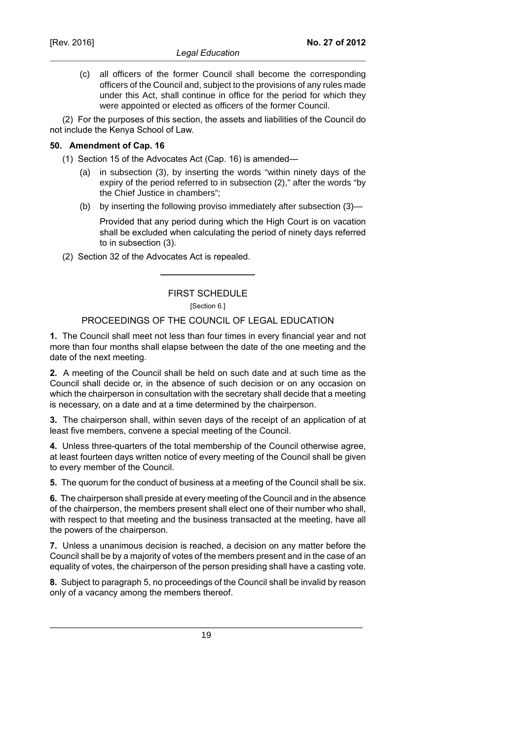(c) all officers of the former Council shall become the corresponding officers of the Council and, subject to the provisions of any rules made under this Act, shall continue in office for the period for which they were appointed or elected as officers of the former Council.

(2) For the purposes of this section, the assets and liabilities of the Council do not include the Kenya School of Law.

### **50. Amendment of Cap. 16**

- (1) Section 15 of the Advocates Act (Cap. 16) is amended—
	- (a) in subsection (3), by inserting the words "within ninety days of the expiry of the period referred to in subsection (2)," after the words "by the Chief Justice in chambers";
	- (b) by inserting the following proviso immediately after subsection (3)—

Provided that any period during which the High Court is on vacation shall be excluded when calculating the period of ninety days referred to in subsection (3).

(2) Section 32 of the Advocates Act is repealed.

# FIRST SCHEDULE

[Section 6.]

### PROCEEDINGS OF THE COUNCIL OF LEGAL EDUCATION

**1.** The Council shall meet not less than four times in every financial year and not more than four months shall elapse between the date of the one meeting and the date of the next meeting.

**2.** A meeting of the Council shall be held on such date and at such time as the Council shall decide or, in the absence of such decision or on any occasion on which the chairperson in consultation with the secretary shall decide that a meeting is necessary, on a date and at a time determined by the chairperson.

**3.** The chairperson shall, within seven days of the receipt of an application of at least five members, convene a special meeting of the Council.

**4.** Unless three-quarters of the total membership of the Council otherwise agree, at least fourteen days written notice of every meeting of the Council shall be given to every member of the Council.

**5.** The quorum for the conduct of business at a meeting of the Council shall be six.

**6.** The chairperson shall preside at every meeting of the Council and in the absence of the chairperson, the members present shall elect one of their number who shall, with respect to that meeting and the business transacted at the meeting, have all the powers of the chairperson.

**7.** Unless a unanimous decision is reached, a decision on any matter before the Council shall be by a majority of votes of the members present and in the case of an equality of votes, the chairperson of the person presiding shall have a casting vote.

**8.** Subject to paragraph 5, no proceedings of the Council shall be invalid by reason only of a vacancy among the members thereof.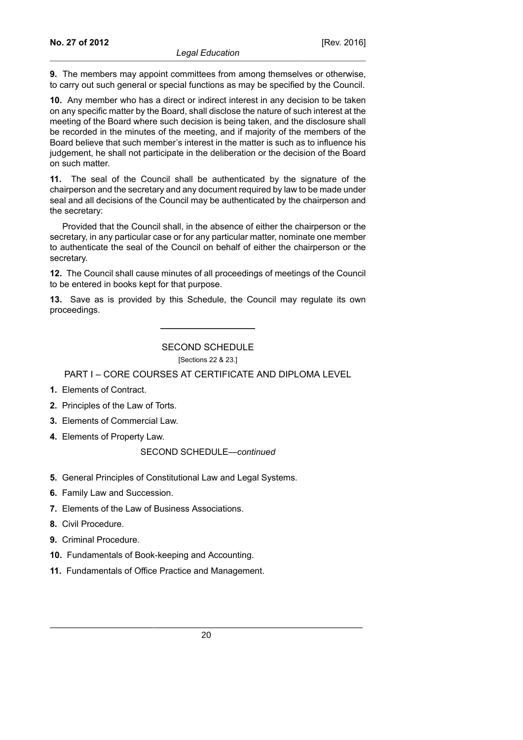**9.** The members may appoint committees from among themselves or otherwise, to carry out such general or special functions as may be specified by the Council.

**10.** Any member who has a direct or indirect interest in any decision to be taken on any specific matter by the Board, shall disclose the nature of such interest at the meeting of the Board where such decision is being taken, and the disclosure shall be recorded in the minutes of the meeting, and if majority of the members of the Board believe that such member's interest in the matter is such as to influence his judgement, he shall not participate in the deliberation or the decision of the Board on such matter.

**11.** The seal of the Council shall be authenticated by the signature of the chairperson and the secretary and any document required by law to be made under seal and all decisions of the Council may be authenticated by the chairperson and the secretary:

Provided that the Council shall, in the absence of either the chairperson or the secretary, in any particular case or for any particular matter, nominate one member to authenticate the seal of the Council on behalf of either the chairperson or the secretary.

**12.** The Council shall cause minutes of all proceedings of meetings of the Council to be entered in books kept for that purpose.

**13.** Save as is provided by this Schedule, the Council may regulate its own proceedings.

SECOND SCHEDULE [Sections 22 & 23.]

PART I – CORE COURSES AT CERTIFICATE AND DIPLOMA LEVEL

- **1.** Elements of Contract.
- **2.** Principles of the Law of Torts.
- **3.** Elements of Commercial Law.
- **4.** Elements of Property Law.

#### SECOND SCHEDULE—*continued*

- **5.** General Principles of Constitutional Law and Legal Systems.
- **6.** Family Law and Succession.
- **7.** Elements of the Law of Business Associations.
- **8.** Civil Procedure.
- **9.** Criminal Procedure.
- **10.** Fundamentals of Book-keeping and Accounting.
- **11.** Fundamentals of Office Practice and Management.